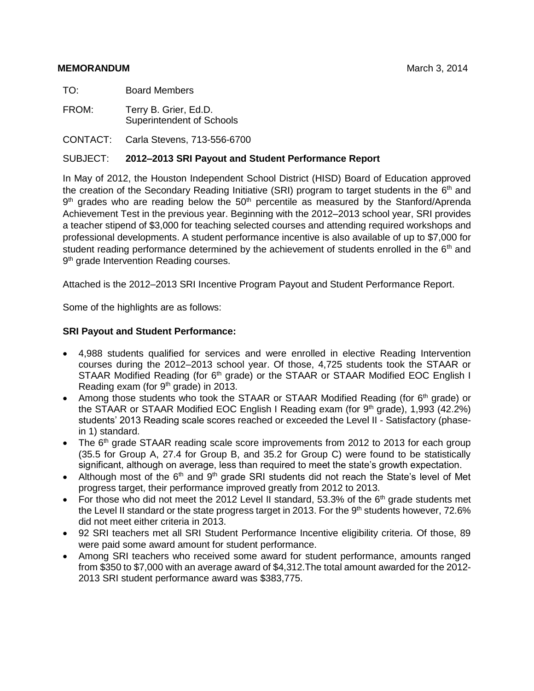#### **MEMORANDUM MEMORANDUM MEMORANDUM**

TO: Board Members

FROM: Terry B. Grier, Ed.D. Superintendent of Schools

CONTACT: Carla Stevens, 713-556-6700

#### SUBJECT: **2012–2013 SRI Payout and Student Performance Report**

In May of 2012, the Houston Independent School District (HISD) Board of Education approved the creation of the Secondary Reading Initiative (SRI) program to target students in the  $6<sup>th</sup>$  and 9<sup>th</sup> grades who are reading below the 50<sup>th</sup> percentile as measured by the Stanford/Aprenda Achievement Test in the previous year. Beginning with the 2012–2013 school year, SRI provides a teacher stipend of \$3,000 for teaching selected courses and attending required workshops and professional developments. A student performance incentive is also available of up to \$7,000 for student reading performance determined by the achievement of students enrolled in the  $6<sup>th</sup>$  and 9<sup>th</sup> grade Intervention Reading courses.

Attached is the 2012–2013 SRI Incentive Program Payout and Student Performance Report.

Some of the highlights are as follows:

#### **SRI Payout and Student Performance:**

- 4,988 students qualified for services and were enrolled in elective Reading Intervention courses during the 2012–2013 school year. Of those, 4,725 students took the STAAR or STAAR Modified Reading (for 6<sup>th</sup> grade) or the STAAR or STAAR Modified EOC English I Reading exam (for 9<sup>th</sup> grade) in 2013.
- Among those students who took the STAAR or STAAR Modified Reading (for 6<sup>th</sup> grade) or the STAAR or STAAR Modified EOC English I Reading exam (for 9<sup>th</sup> grade), 1,993 (42.2%) students' 2013 Reading scale scores reached or exceeded the Level II - Satisfactory (phasein 1) standard.
- The  $6<sup>th</sup>$  grade STAAR reading scale score improvements from 2012 to 2013 for each group (35.5 for Group A, 27.4 for Group B, and 35.2 for Group C) were found to be statistically significant, although on average, less than required to meet the state's growth expectation.
- Although most of the  $6<sup>th</sup>$  and  $9<sup>th</sup>$  grade SRI students did not reach the State's level of Met progress target, their performance improved greatly from 2012 to 2013.
- For those who did not meet the 2012 Level II standard, 53.3% of the  $6<sup>th</sup>$  grade students met the Level II standard or the state progress target in 2013. For the 9<sup>th</sup> students however, 72.6% did not meet either criteria in 2013.
- 92 SRI teachers met all SRI Student Performance Incentive eligibility criteria. Of those, 89 were paid some award amount for student performance.
- Among SRI teachers who received some award for student performance, amounts ranged from \$350 to \$7,000 with an average award of \$4,312.The total amount awarded for the 2012- 2013 SRI student performance award was \$383,775.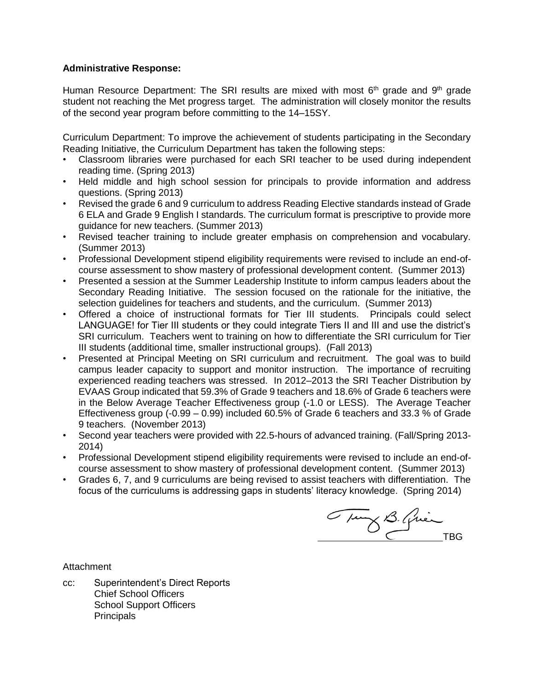#### **Administrative Response:**

Human Resource Department: The SRI results are mixed with most  $6<sup>th</sup>$  grade and  $9<sup>th</sup>$  grade student not reaching the Met progress target. The administration will closely monitor the results of the second year program before committing to the 14–15SY.

Curriculum Department: To improve the achievement of students participating in the Secondary Reading Initiative, the Curriculum Department has taken the following steps:

- Classroom libraries were purchased for each SRI teacher to be used during independent reading time. (Spring 2013)
- Held middle and high school session for principals to provide information and address questions. (Spring 2013)
- Revised the grade 6 and 9 curriculum to address Reading Elective standards instead of Grade 6 ELA and Grade 9 English I standards. The curriculum format is prescriptive to provide more guidance for new teachers. (Summer 2013)
- Revised teacher training to include greater emphasis on comprehension and vocabulary. (Summer 2013)
- Professional Development stipend eligibility requirements were revised to include an end-ofcourse assessment to show mastery of professional development content. (Summer 2013)
- Presented a session at the Summer Leadership Institute to inform campus leaders about the Secondary Reading Initiative. The session focused on the rationale for the initiative, the selection guidelines for teachers and students, and the curriculum. (Summer 2013)
- Offered a choice of instructional formats for Tier III students. Principals could select LANGUAGE! for Tier III students or they could integrate Tiers II and III and use the district's SRI curriculum. Teachers went to training on how to differentiate the SRI curriculum for Tier III students (additional time, smaller instructional groups). (Fall 2013)
- Presented at Principal Meeting on SRI curriculum and recruitment. The goal was to build campus leader capacity to support and monitor instruction. The importance of recruiting experienced reading teachers was stressed. In 2012–2013 the SRI Teacher Distribution by EVAAS Group indicated that 59.3% of Grade 9 teachers and 18.6% of Grade 6 teachers were in the Below Average Teacher Effectiveness group (-1.0 or LESS). The Average Teacher Effectiveness group (-0.99 – 0.99) included 60.5% of Grade 6 teachers and 33.3 % of Grade 9 teachers. (November 2013)
- Second year teachers were provided with 22.5-hours of advanced training. (Fall/Spring 2013- 2014)
- Professional Development stipend eligibility requirements were revised to include an end-ofcourse assessment to show mastery of professional development content. (Summer 2013)
- Grades 6, 7, and 9 curriculums are being revised to assist teachers with differentiation. The focus of the curriculums is addressing gaps in students' literacy knowledge. (Spring 2014)

Tung B. Quin

**Attachment** 

cc: Superintendent's Direct Reports Chief School Officers School Support Officers **Principals**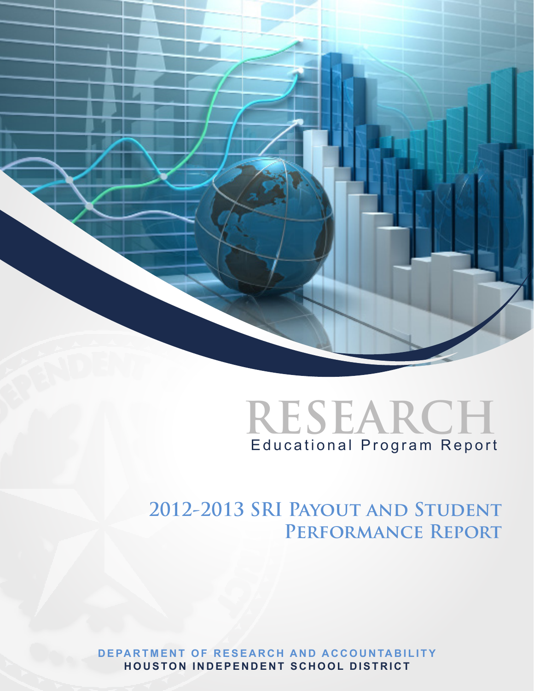



# **2012-2013 SRI Payout and Student Performance Report**

**DEPARTMENT OF RESEARCH AND ACCOUNTABILITY HOUSTON INDEPENDENT SCHOOL DISTRICT**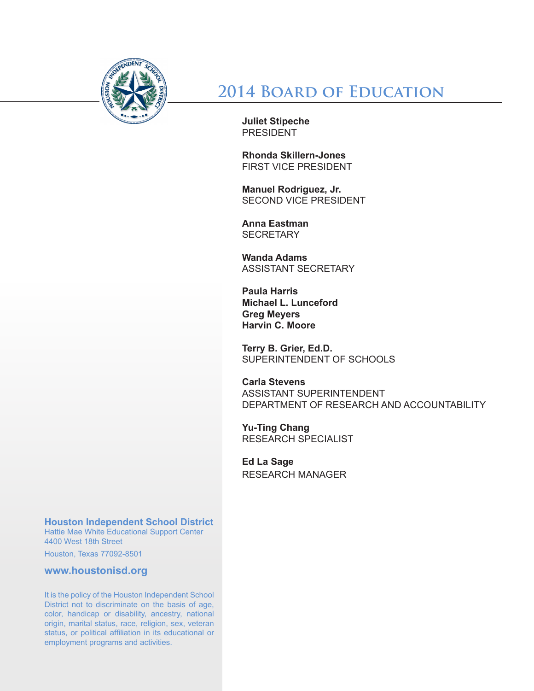

**2014 Board of Education**

**Juliet Stipeche**  PRESIDENT

**Rhonda Skillern-Jones** FIRST VICE PRESIDENT

**Manuel Rodriguez, Jr.**  SECOND VICE PRESIDENT

**Anna Eastman SECRETARY** 

**Wanda Adams**  ASSISTANT SECRETARY

**Paula Harris Michael L. Lunceford Greg Meyers Harvin C. Moore**

**Terry B. Grier, Ed.D.** SUPERINTENDENT OF SCHOOLS

**Carla Stevens** ASSISTANT SUPERINTENDENT DEPARTMENT OF RESEARCH AND ACCOUNTABILITY

**Yu-Ting Chang** RESEARCH SPECIALIST

**Ed La Sage** RESEARCH MANAGER

**Houston Independent School District**

Hattie Mae White Educational Support Center 4400 West 18th Street

Houston, Texas 77092-8501

**www.houstonisd.org**

It is the policy of the Houston Independent School District not to discriminate on the basis of age, color, handicap or disability, ancestry, national origin, marital status, race, religion, sex, veteran status, or political affiliation in its educational or employment programs and activities.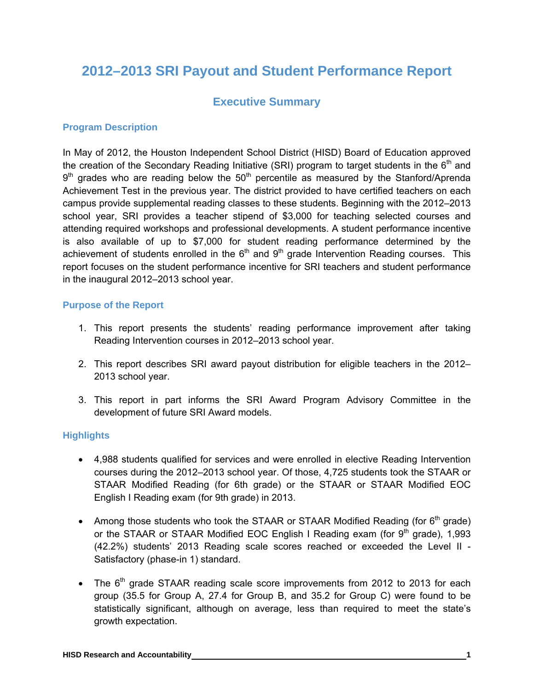## **2012–2013 SRI Payout and Student Performance Report**

#### **Executive Summary**

#### **Program Description**

In May of 2012, the Houston Independent School District (HISD) Board of Education approved the creation of the Secondary Reading Initiative (SRI) program to target students in the  $6<sup>th</sup>$  and  $9<sup>th</sup>$  grades who are reading below the  $50<sup>th</sup>$  percentile as measured by the Stanford/Aprenda Achievement Test in the previous year. The district provided to have certified teachers on each campus provide supplemental reading classes to these students. Beginning with the 2012–2013 school year, SRI provides a teacher stipend of \$3,000 for teaching selected courses and attending required workshops and professional developments. A student performance incentive is also available of up to \$7,000 for student reading performance determined by the achievement of students enrolled in the  $6<sup>th</sup>$  and  $9<sup>th</sup>$  grade Intervention Reading courses. This report focuses on the student performance incentive for SRI teachers and student performance in the inaugural 2012–2013 school year.

#### **Purpose of the Report**

- 1. This report presents the students' reading performance improvement after taking Reading Intervention courses in 2012–2013 school year.
- 2. This report describes SRI award payout distribution for eligible teachers in the 2012– 2013 school year.
- 3. This report in part informs the SRI Award Program Advisory Committee in the development of future SRI Award models.

#### **Highlights**

- 4,988 students qualified for services and were enrolled in elective Reading Intervention courses during the 2012–2013 school year. Of those, 4,725 students took the STAAR or STAAR Modified Reading (for 6th grade) or the STAAR or STAAR Modified EOC English I Reading exam (for 9th grade) in 2013.
- Among those students who took the STAAR or STAAR Modified Reading (for  $6<sup>th</sup>$  grade) or the STAAR or STAAR Modified EOC English I Reading exam (for  $9<sup>th</sup>$  grade), 1,993 (42.2%) students' 2013 Reading scale scores reached or exceeded the Level II - Satisfactory (phase-in 1) standard.
- The  $6<sup>th</sup>$  grade STAAR reading scale score improvements from 2012 to 2013 for each group (35.5 for Group A, 27.4 for Group B, and 35.2 for Group C) were found to be statistically significant, although on average, less than required to meet the state's growth expectation.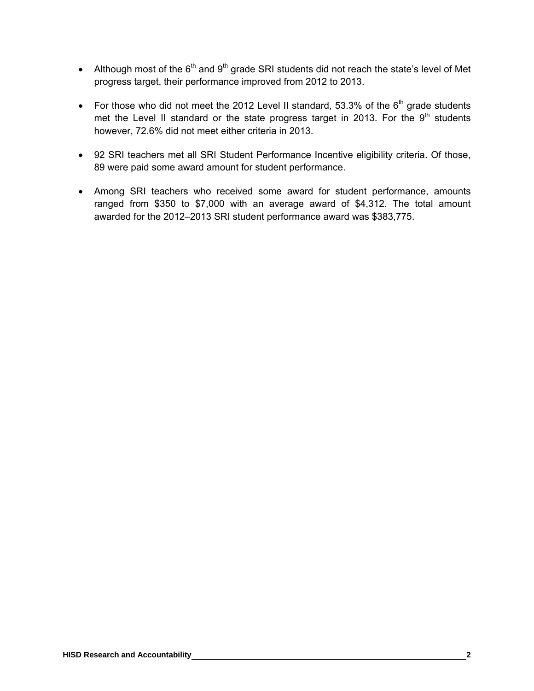- Although most of the  $6<sup>th</sup>$  and  $9<sup>th</sup>$  grade SRI students did not reach the state's level of Met progress target, their performance improved from 2012 to 2013.
- For those who did not meet the 2012 Level II standard, 53.3% of the  $6<sup>th</sup>$  grade students met the Level II standard or the state progress target in 2013. For the  $9<sup>th</sup>$  students however, 72.6% did not meet either criteria in 2013.
- 92 SRI teachers met all SRI Student Performance Incentive eligibility criteria. Of those, 89 were paid some award amount for student performance.
- Among SRI teachers who received some award for student performance, amounts ranged from \$350 to \$7,000 with an average award of \$4,312. The total amount awarded for the 2012–2013 SRI student performance award was \$383,775.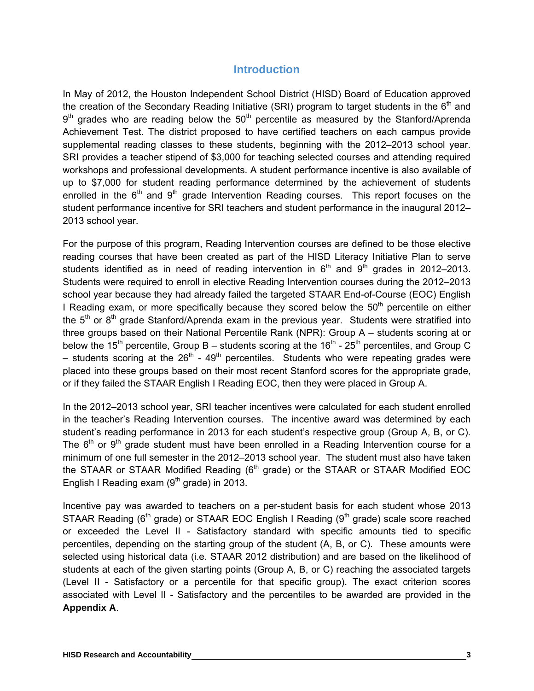#### **Introduction**

In May of 2012, the Houston Independent School District (HISD) Board of Education approved the creation of the Secondary Reading Initiative (SRI) program to target students in the  $6<sup>th</sup>$  and  $9<sup>th</sup>$  grades who are reading below the  $50<sup>th</sup>$  percentile as measured by the Stanford/Aprenda Achievement Test. The district proposed to have certified teachers on each campus provide supplemental reading classes to these students, beginning with the 2012–2013 school year. SRI provides a teacher stipend of \$3,000 for teaching selected courses and attending required workshops and professional developments. A student performance incentive is also available of up to \$7,000 for student reading performance determined by the achievement of students enrolled in the  $6<sup>th</sup>$  and  $9<sup>th</sup>$  grade Intervention Reading courses. This report focuses on the student performance incentive for SRI teachers and student performance in the inaugural 2012– 2013 school year.

For the purpose of this program, Reading Intervention courses are defined to be those elective reading courses that have been created as part of the HISD Literacy Initiative Plan to serve students identified as in need of reading intervention in  $6<sup>th</sup>$  and  $9<sup>th</sup>$  grades in 2012–2013. Students were required to enroll in elective Reading Intervention courses during the 2012–2013 school year because they had already failed the targeted STAAR End-of-Course (EOC) English I Reading exam, or more specifically because they scored below the  $50<sup>th</sup>$  percentile on either the  $5<sup>th</sup>$  or  $8<sup>th</sup>$  grade Stanford/Aprenda exam in the previous year. Students were stratified into three groups based on their National Percentile Rank (NPR): Group A – students scoring at or below the 15<sup>th</sup> percentile, Group B – students scoring at the 16<sup>th</sup> - 25<sup>th</sup> percentiles, and Group C – students scoring at the  $26<sup>th</sup>$  -  $49<sup>th</sup>$  percentiles. Students who were repeating grades were placed into these groups based on their most recent Stanford scores for the appropriate grade, or if they failed the STAAR English I Reading EOC, then they were placed in Group A.

In the 2012–2013 school year, SRI teacher incentives were calculated for each student enrolled in the teacher's Reading Intervention courses. The incentive award was determined by each student's reading performance in 2013 for each student's respective group (Group A, B, or C). The  $6<sup>th</sup>$  or  $9<sup>th</sup>$  grade student must have been enrolled in a Reading Intervention course for a minimum of one full semester in the 2012–2013 school year. The student must also have taken the STAAR or STAAR Modified Reading  $(6<sup>th</sup>$  grade) or the STAAR or STAAR Modified EOC English I Reading exam  $(9<sup>th</sup>$  grade) in 2013.

Incentive pay was awarded to teachers on a per-student basis for each student whose 2013 STAAR Reading ( $6<sup>th</sup>$  grade) or STAAR EOC English I Reading ( $9<sup>th</sup>$  grade) scale score reached or exceeded the Level II - Satisfactory standard with specific amounts tied to specific percentiles, depending on the starting group of the student (A, B, or C). These amounts were selected using historical data (i.e. STAAR 2012 distribution) and are based on the likelihood of students at each of the given starting points (Group A, B, or C) reaching the associated targets (Level II - Satisfactory or a percentile for that specific group). The exact criterion scores associated with Level II - Satisfactory and the percentiles to be awarded are provided in the **Appendix A**.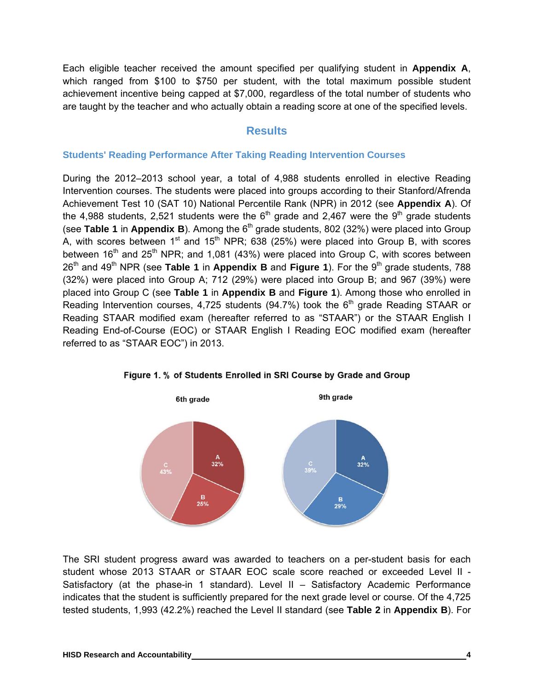Each eligible teacher received the amount specified per qualifying student in **Appendix A**, which ranged from \$100 to \$750 per student, with the total maximum possible student achievement incentive being capped at \$7,000, regardless of the total number of students who are taught by the teacher and who actually obtain a reading score at one of the specified levels.

### **Results**

#### **Students' Reading Performance After Taking Reading Intervention Courses**

During the 2012–2013 school year, a total of 4,988 students enrolled in elective Reading Intervention courses. The students were placed into groups according to their Stanford/Afrenda Achievement Test 10 (SAT 10) National Percentile Rank (NPR) in 2012 (see **Appendix A**). Of the 4,988 students, 2,521 students were the  $6<sup>th</sup>$  grade and 2,467 were the 9<sup>th</sup> grade students (see Table 1 in Appendix B). Among the 6<sup>th</sup> grade students, 802 (32%) were placed into Group A, with scores between  $1^{st}$  and  $15^{th}$  NPR; 638 (25%) were placed into Group B, with scores between  $16<sup>th</sup>$  and  $25<sup>th</sup>$  NPR; and 1,081 (43%) were placed into Group C, with scores between 26<sup>th</sup> and 49<sup>th</sup> NPR (see **Table 1** in **Appendix B** and **Figure 1**). For the 9<sup>th</sup> grade students, 788 (32%) were placed into Group A; 712 (29%) were placed into Group B; and 967 (39%) were placed into Group C (see **Table 1** in **Appendix B** and **Figure 1**). Among those who enrolled in Reading Intervention courses, 4,725 students (94.7%) took the  $6<sup>th</sup>$  grade Reading STAAR or Reading STAAR modified exam (hereafter referred to as "STAAR") or the STAAR English I Reading End-of-Course (EOC) or STAAR English I Reading EOC modified exam (hereafter referred to as "STAAR EOC") in 2013.





The SRI student progress award was awarded to teachers on a per-student basis for each student whose 2013 STAAR or STAAR EOC scale score reached or exceeded Level II - Satisfactory (at the phase-in 1 standard). Level II – Satisfactory Academic Performance indicates that the student is sufficiently prepared for the next grade level or course. Of the 4,725 tested students, 1,993 (42.2%) reached the Level II standard (see **Table 2** in **Appendix B**). For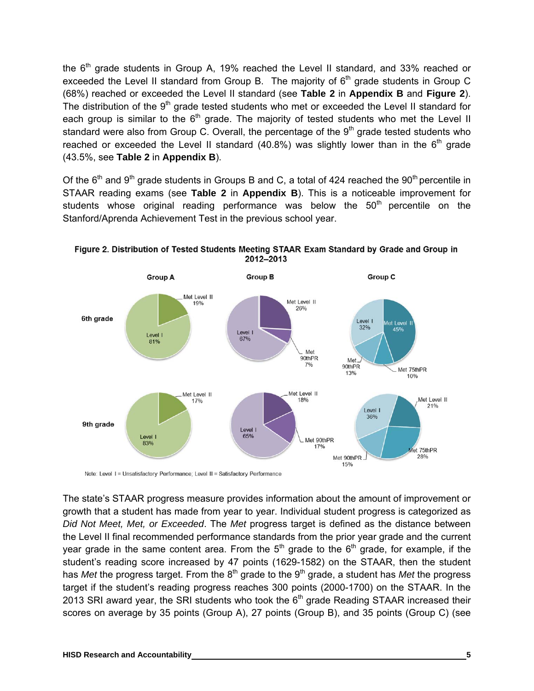the  $6<sup>th</sup>$  grade students in Group A, 19% reached the Level II standard, and 33% reached or exceeded the Level II standard from Group B. The majority of  $6<sup>th</sup>$  grade students in Group C (68%) reached or exceeded the Level II standard (see **Table 2** in **Appendix B** and **Figure 2**). The distribution of the  $9<sup>th</sup>$  grade tested students who met or exceeded the Level II standard for each group is similar to the  $6<sup>th</sup>$  grade. The majority of tested students who met the Level II standard were also from Group C. Overall, the percentage of the 9<sup>th</sup> grade tested students who reached or exceeded the Level II standard (40.8%) was slightly lower than in the  $6<sup>th</sup>$  grade (43.5%, see **Table 2** in **Appendix B**).

Of the  $6<sup>th</sup>$  and  $9<sup>th</sup>$  grade students in Groups B and C, a total of 424 reached the  $90<sup>th</sup>$  percentile in STAAR reading exams (see **Table 2** in **Appendix B**). This is a noticeable improvement for students whose original reading performance was below the  $50<sup>th</sup>$  percentile on the Stanford/Aprenda Achievement Test in the previous school year.



Figure 2. Distribution of Tested Students Meeting STAAR Exam Standard by Grade and Group in 2012-2013

Note: Level 1 = Unsatisfactory Performance; Level II = Satisfactory Performance

The state's STAAR progress measure provides information about the amount of improvement or growth that a student has made from year to year. Individual student progress is categorized as *Did Not Meet, Met, or Exceeded*. The *Met* progress target is defined as the distance between the Level II final recommended performance standards from the prior year grade and the current year grade in the same content area. From the  $5<sup>th</sup>$  grade to the  $6<sup>th</sup>$  grade, for example, if the student's reading score increased by 47 points (1629-1582) on the STAAR, then the student has *Met* the progress target. From the 8<sup>th</sup> grade to the 9<sup>th</sup> grade, a student has *Met* the progress target if the student's reading progress reaches 300 points (2000-1700) on the STAAR. In the 2013 SRI award year, the SRI students who took the  $6<sup>th</sup>$  grade Reading STAAR increased their scores on average by 35 points (Group A), 27 points (Group B), and 35 points (Group C) (see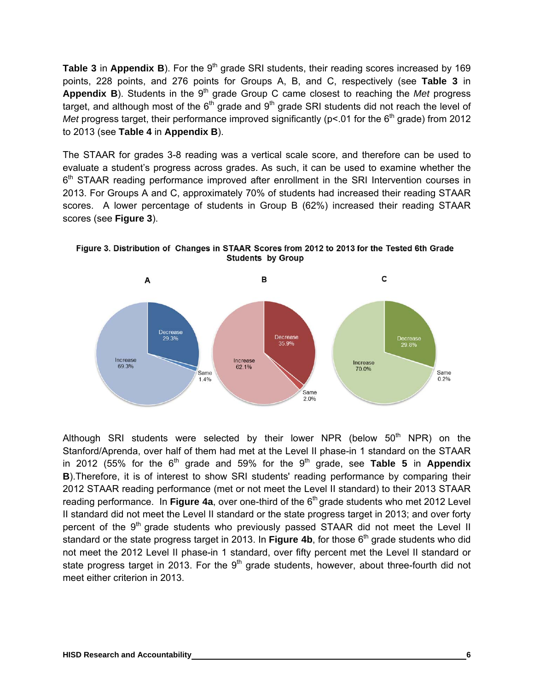Table 3 in Appendix B). For the 9<sup>th</sup> grade SRI students, their reading scores increased by 169 points, 228 points, and 276 points for Groups A, B, and C, respectively (see **Table 3** in Appendix B). Students in the 9<sup>th</sup> grade Group C came closest to reaching the *Met* progress target, and although most of the  $6<sup>th</sup>$  grade and  $9<sup>th</sup>$  grade SRI students did not reach the level of *Met* progress target, their performance improved significantly ( $p$ <.01 for the  $6<sup>th</sup>$  grade) from 2012 to 2013 (see **Table 4** in **Appendix B**).

The STAAR for grades 3-8 reading was a vertical scale score, and therefore can be used to evaluate a student's progress across grades. As such, it can be used to examine whether the  $6<sup>th</sup>$  STAAR reading performance improved after enrollment in the SRI Intervention courses in 2013. For Groups A and C, approximately 70% of students had increased their reading STAAR scores. A lower percentage of students in Group B (62%) increased their reading STAAR scores (see **Figure 3**).



Figure 3. Distribution of Changes in STAAR Scores from 2012 to 2013 for the Tested 6th Grade **Students by Group** 

Although SRI students were selected by their lower NPR (below  $50<sup>th</sup>$  NPR) on the Stanford/Aprenda, over half of them had met at the Level II phase-in 1 standard on the STAAR in 2012 (55% for the  $6<sup>th</sup>$  grade and 59% for the 9<sup>th</sup> grade, see **Table 5** in **Appendix B**).Therefore, it is of interest to show SRI students' reading performance by comparing their 2012 STAAR reading performance (met or not meet the Level II standard) to their 2013 STAAR reading performance. In **Figure 4a**, over one-third of the 6<sup>th</sup> grade students who met 2012 Level II standard did not meet the Level II standard or the state progress target in 2013; and over forty percent of the  $9<sup>th</sup>$  grade students who previously passed STAAR did not meet the Level II standard or the state progress target in 2013. In Figure 4b, for those 6<sup>th</sup> grade students who did not meet the 2012 Level II phase-in 1 standard, over fifty percent met the Level II standard or state progress target in 2013. For the  $9<sup>th</sup>$  grade students, however, about three-fourth did not meet either criterion in 2013.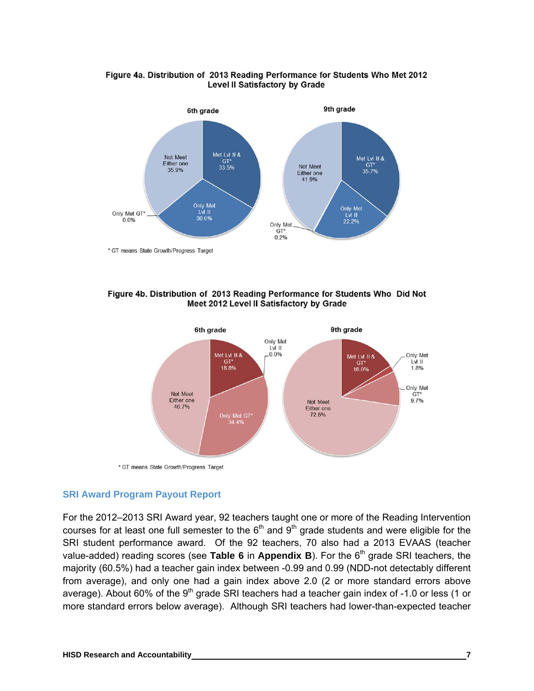



\* GT means State Growth/Progress Target





#### **SRI Award Program Payout Report**

For the 2012–2013 SRI Award year, 92 teachers taught one or more of the Reading Intervention courses for at least one full semester to the  $6<sup>th</sup>$  and  $9<sup>th</sup>$  grade students and were eligible for the SRI student performance award. Of the 92 teachers, 70 also had a 2013 EVAAS (teacher value-added) reading scores (see **Table 6** in **Appendix B**). For the 6<sup>th</sup> grade SRI teachers, the majority (60.5%) had a teacher gain index between -0.99 and 0.99 (NDD-not detectably different from average), and only one had a gain index above 2.0 (2 or more standard errors above average). About 60% of the  $9<sup>th</sup>$  grade SRI teachers had a teacher gain index of -1.0 or less (1 or more standard errors below average). Although SRI teachers had lower-than-expected teacher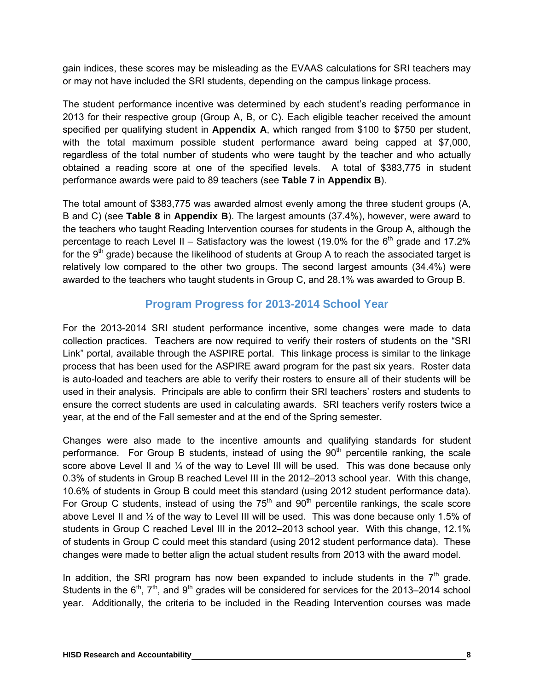gain indices, these scores may be misleading as the EVAAS calculations for SRI teachers may or may not have included the SRI students, depending on the campus linkage process.

The student performance incentive was determined by each student's reading performance in 2013 for their respective group (Group A, B, or C). Each eligible teacher received the amount specified per qualifying student in **Appendix A**, which ranged from \$100 to \$750 per student, with the total maximum possible student performance award being capped at \$7,000, regardless of the total number of students who were taught by the teacher and who actually obtained a reading score at one of the specified levels. A total of \$383,775 in student performance awards were paid to 89 teachers (see **Table 7** in **Appendix B**).

The total amount of \$383,775 was awarded almost evenly among the three student groups (A, B and C) (see **Table 8** in **Appendix B**). The largest amounts (37.4%), however, were award to the teachers who taught Reading Intervention courses for students in the Group A, although the percentage to reach Level II – Satisfactory was the lowest (19.0% for the  $6<sup>th</sup>$  grade and 17.2% for the  $9<sup>th</sup>$  grade) because the likelihood of students at Group A to reach the associated target is relatively low compared to the other two groups. The second largest amounts (34.4%) were awarded to the teachers who taught students in Group C, and 28.1% was awarded to Group B.

#### **Program Progress for 2013-2014 School Year**

For the 2013-2014 SRI student performance incentive, some changes were made to data collection practices. Teachers are now required to verify their rosters of students on the "SRI Link" portal, available through the ASPIRE portal. This linkage process is similar to the linkage process that has been used for the ASPIRE award program for the past six years. Roster data is auto-loaded and teachers are able to verify their rosters to ensure all of their students will be used in their analysis. Principals are able to confirm their SRI teachers' rosters and students to ensure the correct students are used in calculating awards. SRI teachers verify rosters twice a year, at the end of the Fall semester and at the end of the Spring semester.

Changes were also made to the incentive amounts and qualifying standards for student performance. For Group B students, instead of using the  $90<sup>th</sup>$  percentile ranking, the scale score above Level II and  $\frac{1}{4}$  of the way to Level III will be used. This was done because only 0.3% of students in Group B reached Level III in the 2012–2013 school year. With this change, 10.6% of students in Group B could meet this standard (using 2012 student performance data). For Group C students, instead of using the  $75<sup>th</sup>$  and  $90<sup>th</sup>$  percentile rankings, the scale score above Level II and ½ of the way to Level III will be used. This was done because only 1.5% of students in Group C reached Level III in the 2012–2013 school year. With this change, 12.1% of students in Group C could meet this standard (using 2012 student performance data). These changes were made to better align the actual student results from 2013 with the award model.

In addition, the SRI program has now been expanded to include students in the  $7<sup>th</sup>$  grade. Students in the  $6<sup>th</sup>$ ,  $7<sup>th</sup>$ , and  $9<sup>th</sup>$  grades will be considered for services for the 2013–2014 school year. Additionally, the criteria to be included in the Reading Intervention courses was made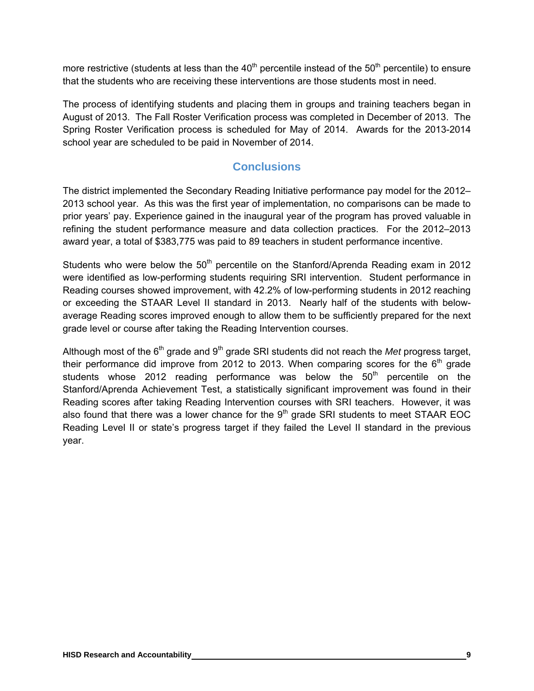more restrictive (students at less than the  $40<sup>th</sup>$  percentile instead of the  $50<sup>th</sup>$  percentile) to ensure that the students who are receiving these interventions are those students most in need.

The process of identifying students and placing them in groups and training teachers began in August of 2013. The Fall Roster Verification process was completed in December of 2013. The Spring Roster Verification process is scheduled for May of 2014. Awards for the 2013-2014 school year are scheduled to be paid in November of 2014.

### **Conclusions**

The district implemented the Secondary Reading Initiative performance pay model for the 2012– 2013 school year. As this was the first year of implementation, no comparisons can be made to prior years' pay. Experience gained in the inaugural year of the program has proved valuable in refining the student performance measure and data collection practices. For the 2012–2013 award year, a total of \$383,775 was paid to 89 teachers in student performance incentive.

Students who were below the 50<sup>th</sup> percentile on the Stanford/Aprenda Reading exam in 2012 were identified as low-performing students requiring SRI intervention. Student performance in Reading courses showed improvement, with 42.2% of low-performing students in 2012 reaching or exceeding the STAAR Level II standard in 2013. Nearly half of the students with belowaverage Reading scores improved enough to allow them to be sufficiently prepared for the next grade level or course after taking the Reading Intervention courses.

Although most of the 6<sup>th</sup> grade and 9<sup>th</sup> grade SRI students did not reach the *Met* progress target, their performance did improve from 2012 to 2013. When comparing scores for the  $6<sup>th</sup>$  grade students whose 2012 reading performance was below the  $50<sup>th</sup>$  percentile on the Stanford/Aprenda Achievement Test, a statistically significant improvement was found in their Reading scores after taking Reading Intervention courses with SRI teachers. However, it was also found that there was a lower chance for the  $9<sup>th</sup>$  grade SRI students to meet STAAR EOC Reading Level II or state's progress target if they failed the Level II standard in the previous year.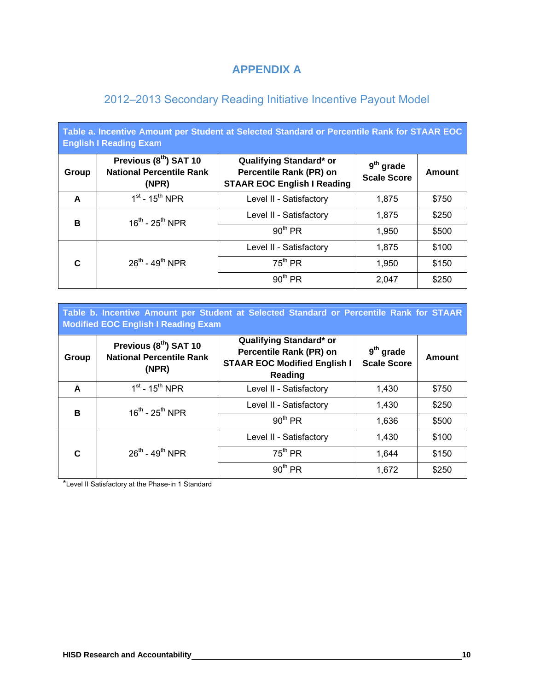### **APPENDIX A**

### 2012–2013 Secondary Reading Initiative Incentive Payout Model

| Table a. Incentive Amount per Student at Selected Standard or Percentile Rank for STAAR EOC<br><b>English I Reading Exam</b> |                                                                                                                                                                                   |                         |                                   |        |  |  |  |
|------------------------------------------------------------------------------------------------------------------------------|-----------------------------------------------------------------------------------------------------------------------------------------------------------------------------------|-------------------------|-----------------------------------|--------|--|--|--|
| Group                                                                                                                        | Previous (8 <sup>th</sup> ) SAT 10<br>Qualifying Standard* or<br><b>National Percentile Rank</b><br><b>Percentile Rank (PR) on</b><br><b>STAAR EOC English I Reading</b><br>(NPR) |                         | $9th$ grade<br><b>Scale Score</b> | Amount |  |  |  |
| A                                                                                                                            | $1st$ - 15 <sup>th</sup> NPR                                                                                                                                                      | Level II - Satisfactory | 1.875                             | \$750  |  |  |  |
| B                                                                                                                            | $16^{th}$ - $25^{th}$ NPR                                                                                                                                                         | Level II - Satisfactory | 1,875                             | \$250  |  |  |  |
|                                                                                                                              |                                                                                                                                                                                   | 90 <sup>th</sup> PR     | 1,950                             | \$500  |  |  |  |
|                                                                                                                              |                                                                                                                                                                                   | Level II - Satisfactory | 1,875                             | \$100  |  |  |  |
| C                                                                                                                            | $26^{th}$ - 49 <sup>th</sup> NPR                                                                                                                                                  | 75 <sup>th</sup> PR     | 1,950                             | \$150  |  |  |  |
|                                                                                                                              |                                                                                                                                                                                   | 90 <sup>th</sup> PR     | 2,047                             | \$250  |  |  |  |

| Table b. Incentive Amount per Student at Selected Standard or Percentile Rank for STAAR<br>Modified EOC English I Reading Exam |                                                                                |                                                                                                             |                                   |        |  |  |
|--------------------------------------------------------------------------------------------------------------------------------|--------------------------------------------------------------------------------|-------------------------------------------------------------------------------------------------------------|-----------------------------------|--------|--|--|
| Group                                                                                                                          | Previous (8 <sup>th</sup> ) SAT 10<br><b>National Percentile Rank</b><br>(NPR) | Qualifying Standard* or<br><b>Percentile Rank (PR) on</b><br><b>STAAR EOC Modified English I</b><br>Reading | $9th$ grade<br><b>Scale Score</b> | Amount |  |  |
| A                                                                                                                              | $1st$ - 15 <sup>th</sup> NPR                                                   | Level II - Satisfactory                                                                                     | 1,430                             | \$750  |  |  |
| B                                                                                                                              | $16^{th}$ - $25^{th}$ NPR                                                      | Level II - Satisfactory                                                                                     | 1,430                             | \$250  |  |  |
|                                                                                                                                |                                                                                | 90 <sup>th</sup> PR                                                                                         | 1,636                             | \$500  |  |  |
|                                                                                                                                |                                                                                | Level II - Satisfactory                                                                                     | 1,430                             | \$100  |  |  |
| C                                                                                                                              | $26^{th}$ - 49 <sup>th</sup> NPR                                               | 75 <sup>th</sup> PR                                                                                         | 1,644                             | \$150  |  |  |
|                                                                                                                                |                                                                                | 90 <sup>th</sup> PR                                                                                         | 1,672                             | \$250  |  |  |

\*Level II Satisfactory at the Phase-in 1 Standard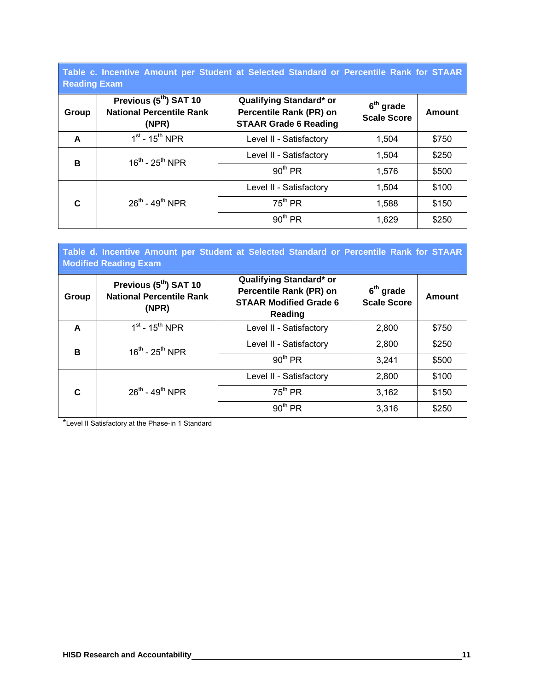**Table c. Incentive Amount per Student at Selected Standard or Percentile Rank for STAAR Reading Exam**

| 1000000 |                                                                                |                                                                                    |                                             |        |  |  |  |
|---------|--------------------------------------------------------------------------------|------------------------------------------------------------------------------------|---------------------------------------------|--------|--|--|--|
| Group   | Previous (5 <sup>th</sup> ) SAT 10<br><b>National Percentile Rank</b><br>(NPR) | Qualifying Standard* or<br>Percentile Rank (PR) on<br><b>STAAR Grade 6 Reading</b> | 6 <sup>th</sup> grade<br><b>Scale Score</b> | Amount |  |  |  |
| A       | $1st$ - 15 <sup>th</sup> NPR                                                   | Level II - Satisfactory                                                            | 1,504                                       | \$750  |  |  |  |
| в       | $16^{th}$ - $25^{th}$ NPR                                                      | Level II - Satisfactory                                                            | 1,504                                       | \$250  |  |  |  |
|         |                                                                                | 90 <sup>th</sup> PR                                                                | 1,576                                       | \$500  |  |  |  |
|         |                                                                                | Level II - Satisfactory                                                            | 1,504                                       | \$100  |  |  |  |
| C       | $26^{th}$ - 49 <sup>th</sup> NPR                                               | $75^{\text{th}}$ PR                                                                | 1,588                                       | \$150  |  |  |  |
|         |                                                                                | 90 <sup>th</sup> PR                                                                | 1,629                                       | \$250  |  |  |  |

| Table d. Incentive Amount per Student at Selected Standard or Percentile Rank for STAAR<br><b>Modified Reading Exam</b> |                                                                                |                                                                                                |                                   |        |  |  |
|-------------------------------------------------------------------------------------------------------------------------|--------------------------------------------------------------------------------|------------------------------------------------------------------------------------------------|-----------------------------------|--------|--|--|
| Group                                                                                                                   | Previous (5 <sup>th</sup> ) SAT 10<br><b>National Percentile Rank</b><br>(NPR) | Qualifying Standard* or<br>Percentile Rank (PR) on<br><b>STAAR Modified Grade 6</b><br>Reading | $6th$ grade<br><b>Scale Score</b> | Amount |  |  |
| A                                                                                                                       | $1st$ - 15 <sup>th</sup> NPR                                                   | Level II - Satisfactory                                                                        | 2,800                             | \$750  |  |  |
| B                                                                                                                       | $16^{th}$ - $25^{th}$ NPR                                                      | Level II - Satisfactory                                                                        | 2,800                             | \$250  |  |  |
|                                                                                                                         |                                                                                | 90 <sup>th</sup> PR                                                                            | 3,241                             | \$500  |  |  |
|                                                                                                                         |                                                                                | Level II - Satisfactory                                                                        | 2,800                             | \$100  |  |  |
| C                                                                                                                       | $26^{th}$ - 49 <sup>th</sup> NPR                                               | 75 <sup>th</sup> PR                                                                            | 3,162                             | \$150  |  |  |
|                                                                                                                         |                                                                                | 90 <sup>th</sup> PR                                                                            | 3,316                             | \$250  |  |  |

\*Level II Satisfactory at the Phase-in 1 Standard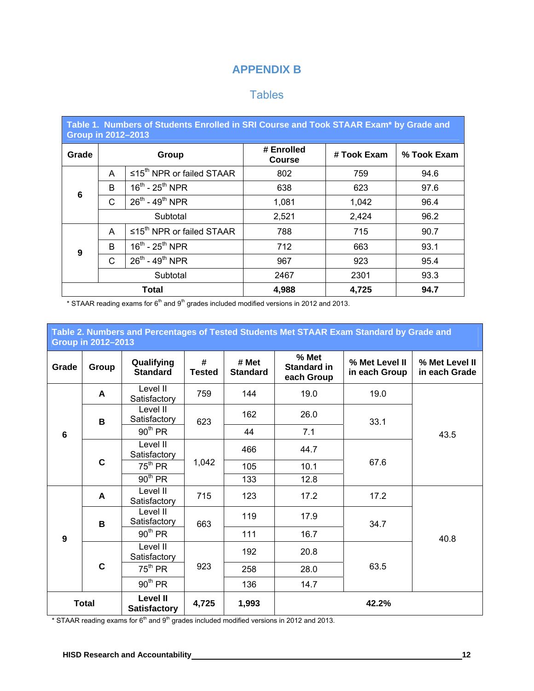### **APPENDIX B**

### **Tables**

| Table 1. Numbers of Students Enrolled in SRI Course and Took STAAR Exam* by Grade and<br><b>Group in 2012-2013</b> |                                        |                                           |                             |             |             |  |
|--------------------------------------------------------------------------------------------------------------------|----------------------------------------|-------------------------------------------|-----------------------------|-------------|-------------|--|
| Grade                                                                                                              | Group                                  |                                           | # Enrolled<br><b>Course</b> | # Took Exam | % Took Exam |  |
|                                                                                                                    | A                                      | $\leq 15^{th}$ NPR or failed STAAR        | 802                         | 759         | 94.6        |  |
| 6                                                                                                                  | B                                      | $16^{th}$ - $25^{th}$ NPR                 | 638                         | 623         | 97.6        |  |
|                                                                                                                    | C                                      | $26^{th}$ - 49 <sup>th</sup> NPR          | 1,081                       | 1,042       | 96.4        |  |
|                                                                                                                    |                                        | Subtotal                                  | 2,521                       | 2,424       | 96.2        |  |
|                                                                                                                    | A                                      | $\leq 15^{\text{th}}$ NPR or failed STAAR | 788                         | 715         | 90.7        |  |
| 9                                                                                                                  | B                                      | $16^{th}$ - $25^{th}$ NPR                 | 712                         | 663         | 93.1        |  |
|                                                                                                                    | C                                      | $26^{th}$ - 49 <sup>th</sup> NPR          | 967                         | 923         | 95.4        |  |
|                                                                                                                    | Subtotal                               |                                           | 2467                        | 2301        | 93.3        |  |
|                                                                                                                    | <b>Total</b><br>4,988<br>4,725<br>94.7 |                                           |                             |             |             |  |

\* STAAR reading exams for  $6<sup>th</sup>$  and  $9<sup>th</sup>$  grades included modified versions in 2012 and 2013.

| Table 2. Numbers and Percentages of Tested Students Met STAAR Exam Standard by Grade and<br><b>Group in 2012-2013</b> |              |                                        |                    |                          |                                    |                                 |                                 |
|-----------------------------------------------------------------------------------------------------------------------|--------------|----------------------------------------|--------------------|--------------------------|------------------------------------|---------------------------------|---------------------------------|
| Grade                                                                                                                 | Group        | Qualifying<br><b>Standard</b>          | #<br><b>Tested</b> | # Met<br><b>Standard</b> | % Met<br>Standard in<br>each Group | % Met Level II<br>in each Group | % Met Level II<br>in each Grade |
|                                                                                                                       | A            | Level II<br>Satisfactory               | 759                | 144                      | 19.0                               | 19.0                            |                                 |
|                                                                                                                       | B            | Level II<br>Satisfactory               | 623                | 162                      | 26.0                               | 33.1                            | 43.5                            |
| $6\phantom{1}$                                                                                                        |              | 90 <sup>th</sup> PR                    |                    | 44                       | 7.1                                |                                 |                                 |
|                                                                                                                       | $\mathbf C$  | Level II<br>Satisfactory               | 1,042              | 466                      | 44.7                               | 67.6                            |                                 |
|                                                                                                                       |              | 75 <sup>th</sup> PR                    |                    | 105                      | 10.1                               |                                 |                                 |
|                                                                                                                       |              | 90 <sup>th</sup> PR                    |                    | 133                      | 12.8                               |                                 |                                 |
|                                                                                                                       | A            | Level II<br>Satisfactory               | 715                | 123                      | 17.2                               | 17.2                            |                                 |
|                                                                                                                       | B            | Level II<br>Satisfactory               | 663                | 119                      | 17.9                               | 34.7                            |                                 |
| $\boldsymbol{9}$                                                                                                      |              | 90 <sup>th</sup> PR                    |                    | 111                      | 16.7                               |                                 | 40.8                            |
|                                                                                                                       |              | Level II<br>Satisfactory               |                    | 192                      | 20.8                               |                                 |                                 |
|                                                                                                                       | $\mathbf c$  | 75 <sup>th</sup> PR                    | 923                | 258                      | 28.0                               | 63.5                            |                                 |
|                                                                                                                       |              | 90 <sup>th</sup> PR                    |                    | 136                      | 14.7                               |                                 |                                 |
|                                                                                                                       | <b>Total</b> | <b>Level II</b><br><b>Satisfactory</b> | 4,725              | 1,993                    |                                    | 42.2%                           |                                 |

\* STAAR reading exams for  $6<sup>th</sup>$  and  $9<sup>th</sup>$  grades included modified versions in 2012 and 2013.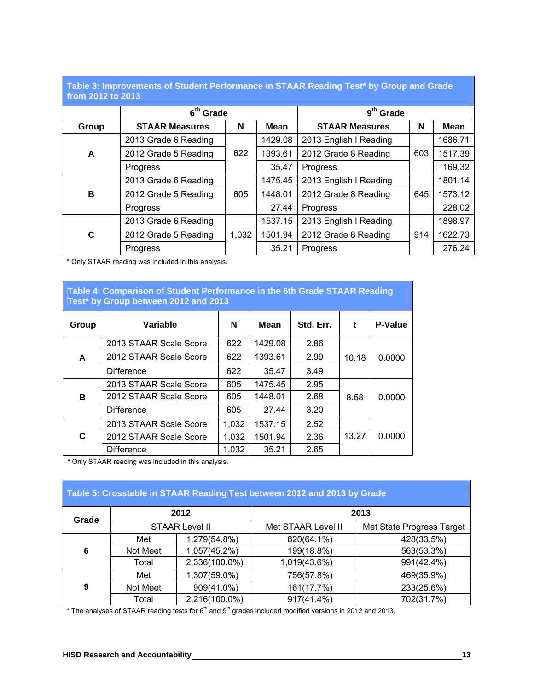#### **Table 3: Improvements of Student Performance in STAAR Reading Test\* by Group and Grade from 2012 to 2013**

| TIVIII AVIA IV AVIJ |                       |       |             |                        |     |             |
|---------------------|-----------------------|-------|-------------|------------------------|-----|-------------|
|                     | $6th$ Grade           |       |             | $9th$ Grade            |     |             |
| Group               | <b>STAAR Measures</b> | N     | <b>Mean</b> | <b>STAAR Measures</b>  | N   | <b>Mean</b> |
|                     | 2013 Grade 6 Reading  |       | 1429.08     | 2013 English I Reading |     | 1686.71     |
| A                   | 2012 Grade 5 Reading  | 622   | 1393.61     | 2012 Grade 8 Reading   | 603 | 1517.39     |
|                     | <b>Progress</b>       |       | 35.47       | Progress               |     | 169.32      |
|                     | 2013 Grade 6 Reading  |       | 1475.45     | 2013 English I Reading |     | 1801.14     |
| B                   | 2012 Grade 5 Reading  | 605   | 1448.01     | 2012 Grade 8 Reading   | 645 | 1573.12     |
|                     | Progress              |       | 27.44       | Progress               |     | 228.02      |
|                     | 2013 Grade 6 Reading  |       | 1537.15     | 2013 English I Reading |     | 1898.97     |
| C                   | 2012 Grade 5 Reading  | 1,032 | 1501.94     | 2012 Grade 8 Reading   | 914 | 1622.73     |
|                     | <b>Progress</b>       |       | 35.21       | Progress               |     | 276.24      |

\* Only STAAR reading was included in this analysis.

### **Table 4: Comparison of Student Performance in the 6th Grade STAAR Reading Test\* by Group between 2012 and 2013**  Group | Variable | N | Mean | Std. Err. | t | P-Value **A**  2013 STAAR Scale Score | 622 | 1429.08 | 2.86 2012 STAAR Scale Score | 622 | 1393.61 | 2.99 | 10.18 | 0.0000

|    | <b>Difference</b>      | 622   | 35.47   | 3.49 |       |        |
|----|------------------------|-------|---------|------|-------|--------|
|    | 2013 STAAR Scale Score | 605   | 1475.45 | 2.95 |       |        |
| B  | 2012 STAAR Scale Score | 605   | 1448.01 | 2.68 | 8.58  | 0.0000 |
|    | <b>Difference</b>      | 605   | 27.44   | 3.20 |       |        |
|    | 2013 STAAR Scale Score | 1,032 | 1537.15 | 2.52 |       |        |
| C. | 2012 STAAR Scale Score | 1,032 | 1501.94 | 2.36 | 13.27 | 0.0000 |
|    | <b>Difference</b>      | 1,032 | 35.21   | 2.65 |       |        |

\* Only STAAR reading was included in this analysis.

# **Table 5: Crosstable in STAAR Reading Test between 2012 and 2013 by Grade**

| Grade | 2012                  |               | 2013               |                           |  |  |
|-------|-----------------------|---------------|--------------------|---------------------------|--|--|
|       | <b>STAAR Level II</b> |               | Met STAAR Level II | Met State Progress Target |  |  |
|       | Met                   | 1,279(54.8%)  | 820(64.1%)         | 428(33.5%)                |  |  |
| 6     | Not Meet              | 1,057(45.2%)  | 199(18.8%)         | 563(53.3%)                |  |  |
|       | Total                 | 2,336(100.0%) | 1,019(43.6%)       | 991(42.4%)                |  |  |
|       | Met                   | 1,307(59.0%)  | 756(57.8%)         | 469(35.9%)                |  |  |
| 9     | Not Meet              | 909(41.0%)    | 161(17.7%)         | 233(25.6%)                |  |  |
|       | Total                 | 2,216(100.0%) | $917(41.4\%)$      | 702(31.7%)                |  |  |

 $*$  The analyses of STAAR reading tests for  $6<sup>th</sup>$  and  $9<sup>th</sup>$  grades included modified versions in 2012 and 2013.